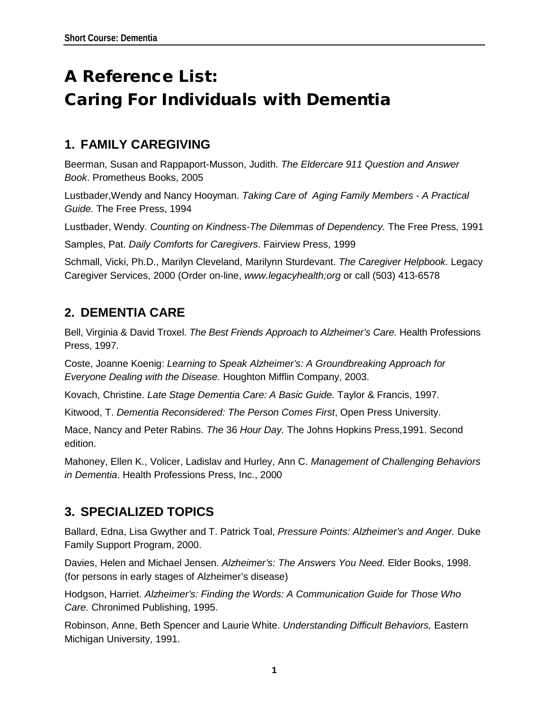# A Reference List: Caring For Individuals with Dementia

## **1. FAMILY CAREGIVING**

Beerman, Susan and Rappaport-Musson, Judith. *The Eldercare 911 Question and Answer Book*. Prometheus Books, 2005

Lustbader,Wendy and Nancy Hooyman. *Taking Care of Aging Family Members - A Practical Guide.* The Free Press, 1994

Lustbader, Wendy. *Counting on Kindness-The Dilemmas of Dependency.* The Free Press, 1991 Samples, Pat. *Daily Comforts for Caregivers*. Fairview Press, 1999

Schmall, Vicki, Ph.D., Marilyn Cleveland, Marilynn Sturdevant. *The Caregiver Helpbook.* Legacy Caregiver Services, 2000 (Order on-line, *www.legacyhealth;org* or call (503) 413-6578

### **2. DEMENTIA CARE**

Bell, Virginia & David Troxel. *The Best Friends Approach to Alzheimer's Care.* Health Professions Press, 1997.

Coste, Joanne Koenig: *Learning to Speak Alzheimer's: A Groundbreaking Approach for Everyone Dealing with the Disease.* Houghton Mifflin Company, 2003.

Kovach, Christine. *Late Stage Dementia Care: A Basic Guide.* Taylor & Francis, 1997.

Kitwood, T. *Dementia Reconsidered: The Person Comes First*, Open Press University.

Mace, Nancy and Peter Rabins. *The* 36 *Hour Day.* The Johns Hopkins Press,1991. Second edition.

Mahoney, Ellen K., Volicer, Ladislav and Hurley, Ann C. *Management of Challenging Behaviors in Dementia*. Health Professions Press, Inc., 2000

#### **3. SPECIALIZED TOPICS**

Ballard, Edna, Lisa Gwyther and T. Patrick Toal, *Pressure Points: Alzheimer's and Anger.* Duke Family Support Program, 2000.

Davies, Helen and Michael Jensen. *Alzheimer's: The Answers You Need.* Elder Books, 1998. (for persons in early stages of Alzheimer's disease)

Hodgson, Harriet. *Alzheimer's: Finding the Words: A Communication Guide for Those Who Care.* Chronimed Publishing, 1995.

Robinson, Anne, Beth Spencer and Laurie White. *Understanding Difficult Behaviors,* Eastern Michigan University, 1991.